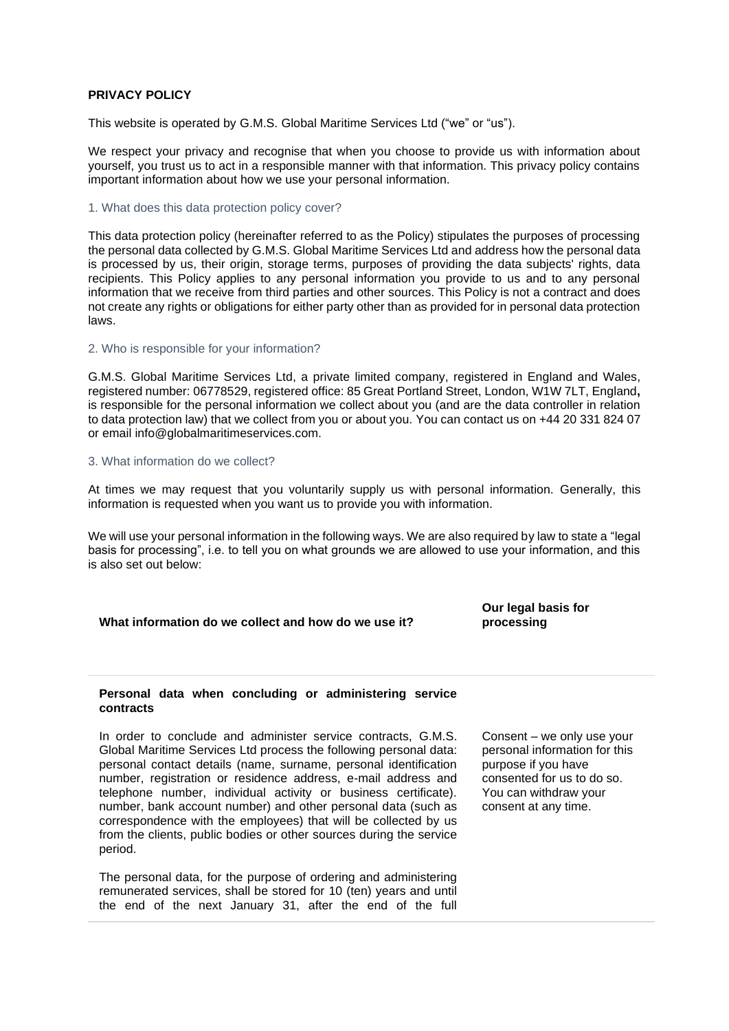## **PRIVACY POLICY**

This website is operated by G.M.S. Global Maritime Services Ltd ("we" or "us").

We respect your privacy and recognise that when you choose to provide us with information about yourself, you trust us to act in a responsible manner with that information. This privacy policy contains important information about how we use your personal information.

# 1. What does this data protection policy cover?

This data protection policy (hereinafter referred to as the Policy) stipulates the purposes of processing the personal data collected by G.M.S. Global Maritime Services Ltd and address how the personal data is processed by us, their origin, storage terms, purposes of providing the data subjects' rights, data recipients. This Policy applies to any personal information you provide to us and to any personal information that we receive from third parties and other sources. This Policy is not a contract and does not create any rights or obligations for either party other than as provided for in personal data protection laws.

#### 2. Who is responsible for your information?

G.M.S. Global Maritime Services Ltd, a private limited company, registered in England and Wales, registered number: 06778529, registered office: 85 Great Portland Street, London, W1W 7LT, England**,** is responsible for the personal information we collect about you (and are the data controller in relation to data protection law) that we collect from you or about you. You can contact us on [+44](tel:00442032873300) 20 331 824 07 or email [info@globalmaritimeservices.com.](mailto:info@globalmaritimeservices.com)

# 3. What information do we collect?

At times we may request that you voluntarily supply us with personal information. Generally, this information is requested when you want us to provide you with information.

We will use your personal information in the following ways. We are also required by law to state a "legal basis for processing", i.e. to tell you on what grounds we are allowed to use your information, and this is also set out below:

# **What information do we collect and how do we use it?**

**Our legal basis for processing**

## **Personal data when concluding or administering service contracts**

In order to conclude and administer service contracts, G.M.S. Global Maritime Services Ltd process the following personal data: personal contact details (name, surname, personal identification number, registration or residence address, e-mail address and telephone number, individual activity or business certificate). number, bank account number) and other personal data (such as correspondence with the employees) that will be collected by us from the clients, public bodies or other sources during the service period.

The personal data, for the purpose of ordering and administering remunerated services, shall be stored for 10 (ten) years and until the end of the next January 31, after the end of the full Consent – we only use your personal information for this purpose if you have consented for us to do so. You can withdraw your consent at any time.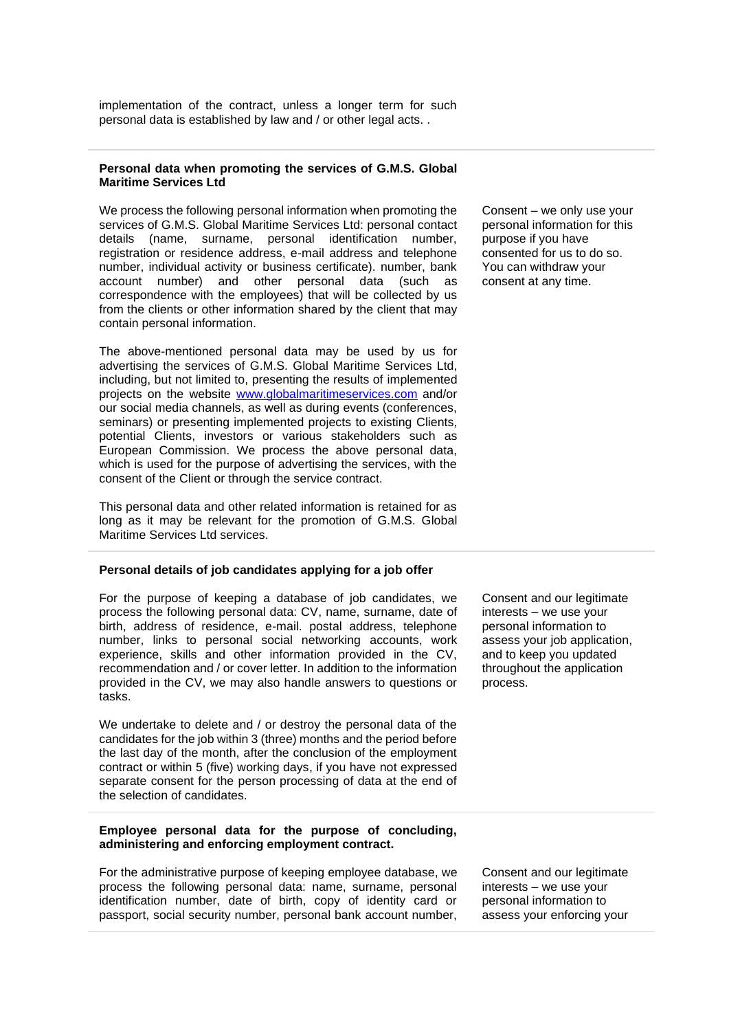implementation of the contract, unless a longer term for such personal data is established by law and / or other legal acts. .

## **Personal data when promoting the services of G.M.S. Global Maritime Services Ltd**

We process the following personal information when promoting the services of G.M.S. Global Maritime Services Ltd: personal contact details (name, surname, personal identification number, registration or residence address, e-mail address and telephone number, individual activity or business certificate). number, bank account number) and other personal data (such as correspondence with the employees) that will be collected by us from the clients or other information shared by the client that may contain personal information.

The above-mentioned personal data may be used by us for advertising the services of G.M.S. Global Maritime Services Ltd, including, but not limited to, presenting the results of implemented projects on the website [www.globalmaritimeservices.com](http://www.globalmaritimeservices.com/) and/or our social media channels, as well as during events (conferences, seminars) or presenting implemented projects to existing Clients, potential Clients, investors or various stakeholders such as European Commission. We process the above personal data, which is used for the purpose of advertising the services, with the consent of the Client or through the service contract.

This personal data and other related information is retained for as long as it may be relevant for the promotion of G.M.S. Global Maritime Services Ltd services.

# **Personal details of job candidates applying for a job offer**

For the purpose of keeping a database of job candidates, we process the following personal data: CV, name, surname, date of birth, address of residence, e-mail. postal address, telephone number, links to personal social networking accounts, work experience, skills and other information provided in the CV, recommendation and / or cover letter. In addition to the information provided in the CV, we may also handle answers to questions or tasks.

We undertake to delete and / or destroy the personal data of the candidates for the job within 3 (three) months and the period before the last day of the month, after the conclusion of the employment contract or within 5 (five) working days, if you have not expressed separate consent for the person processing of data at the end of the selection of candidates.

## **Employee personal data for the purpose of concluding, administering and enforcing employment contract.**

For the administrative purpose of keeping employee database, we process the following personal data: name, surname, personal identification number, date of birth, copy of identity card or passport, social security number, personal bank account number,

Consent – we only use your personal information for this purpose if you have consented for us to do so. You can withdraw your consent at any time.

Consent and our legitimate interests – we use your personal information to assess your job application, and to keep you updated throughout the application process.

Consent and our legitimate interests – we use your personal information to assess your enforcing your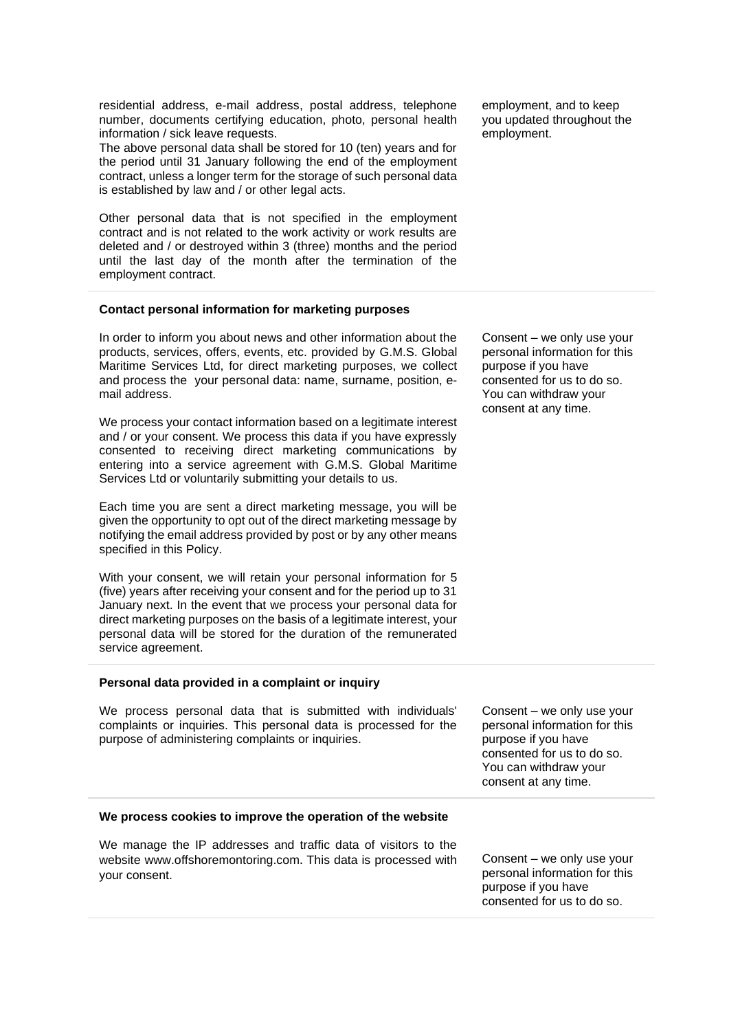residential address, e-mail address, postal address, telephone number, documents certifying education, photo, personal health information / sick leave requests.

The above personal data shall be stored for 10 (ten) years and for the period until 31 January following the end of the employment contract, unless a longer term for the storage of such personal data is established by law and / or other legal acts.

Other personal data that is not specified in the employment contract and is not related to the work activity or work results are deleted and / or destroyed within 3 (three) months and the period until the last day of the month after the termination of the employment contract.

#### **Contact personal information for marketing purposes**

In order to inform you about news and other information about the products, services, offers, events, etc. provided by G.M.S. Global Maritime Services Ltd, for direct marketing purposes, we collect and process the your personal data: name, surname, position, email address.

We process your contact information based on a legitimate interest and / or your consent. We process this data if you have expressly consented to receiving direct marketing communications by entering into a service agreement with G.M.S. Global Maritime Services Ltd or voluntarily submitting your details to us.

Each time you are sent a direct marketing message, you will be given the opportunity to opt out of the direct marketing message by notifying the email address provided by post or by any other means specified in this Policy.

With your consent, we will retain your personal information for 5 (five) years after receiving your consent and for the period up to 31 January next. In the event that we process your personal data for direct marketing purposes on the basis of a legitimate interest, your personal data will be stored for the duration of the remunerated service agreement.

#### **Personal data provided in a complaint or inquiry**

We process personal data that is submitted with individuals' complaints or inquiries. This personal data is processed for the purpose of administering complaints or inquiries.

employment, and to keep you updated throughout the employment.

Consent – we only use your personal information for this purpose if you have consented for us to do so. You can withdraw your consent at any time.

Consent – we only use your personal information for this purpose if you have consented for us to do so. You can withdraw your consent at any time.

#### **We process cookies to improve the operation of the website**

We manage the IP addresses and traffic data of visitors to the website www.offshoremontoring.com. This data is processed with your consent.

Consent – we only use your personal information for this purpose if you have consented for us to do so.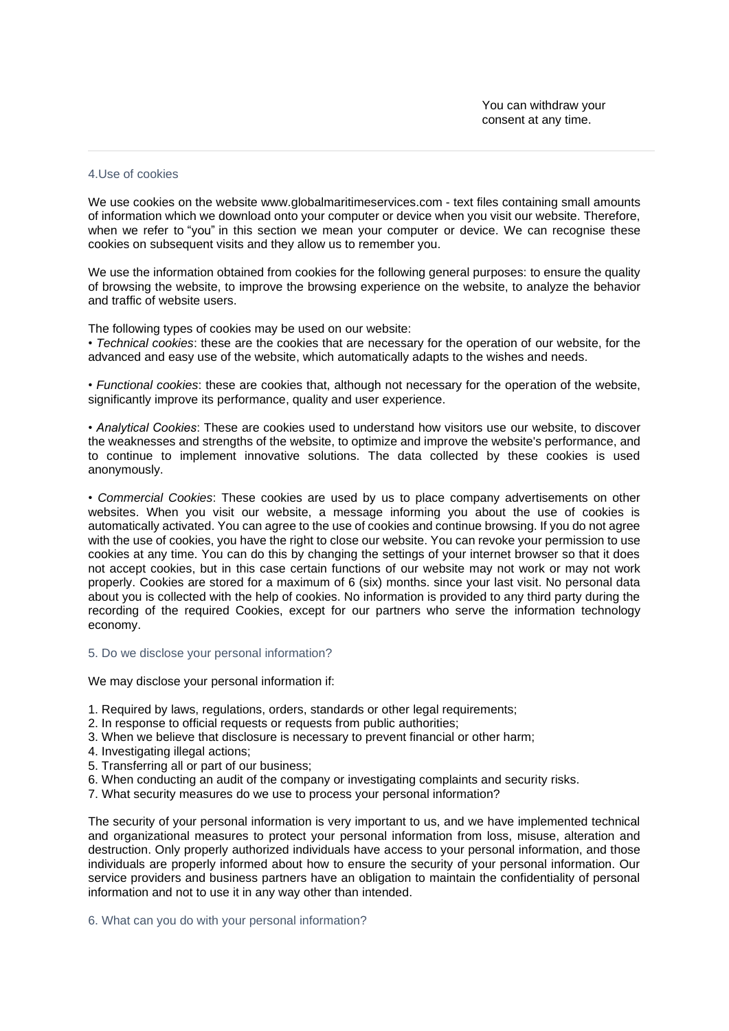## 4.Use of cookies

We use cookies on the website www.globalmaritimeservices.com - text files containing small amounts of information which we download onto your computer or device when you visit our website. Therefore, when we refer to "you" in this section we mean your computer or device. We can recognise these cookies on subsequent visits and they allow us to remember you.

We use the information obtained from cookies for the following general purposes: to ensure the quality of browsing the website, to improve the browsing experience on the website, to analyze the behavior and traffic of website users.

The following types of cookies may be used on our website:

• *Technical cookies*: these are the cookies that are necessary for the operation of our website, for the advanced and easy use of the website, which automatically adapts to the wishes and needs.

• *Functional cookies*: these are cookies that, although not necessary for the operation of the website, significantly improve its performance, quality and user experience.

*• Analytical Cookies*: These are cookies used to understand how visitors use our website, to discover the weaknesses and strengths of the website, to optimize and improve the website's performance, and to continue to implement innovative solutions. The data collected by these cookies is used anonymously.

• *Commercial Cookies*: These cookies are used by us to place company advertisements on other websites. When you visit our website, a message informing you about the use of cookies is automatically activated. You can agree to the use of cookies and continue browsing. If you do not agree with the use of cookies, you have the right to close our website. You can revoke your permission to use cookies at any time. You can do this by changing the settings of your internet browser so that it does not accept cookies, but in this case certain functions of our website may not work or may not work properly. Cookies are stored for a maximum of 6 (six) months. since your last visit. No personal data about you is collected with the help of cookies. No information is provided to any third party during the recording of the required Cookies, except for our partners who serve the information technology economy.

#### 5. Do we disclose your personal information?

We may disclose your personal information if:

- 1. Required by laws, regulations, orders, standards or other legal requirements;
- 2. In response to official requests or requests from public authorities;
- 3. When we believe that disclosure is necessary to prevent financial or other harm;
- 4. Investigating illegal actions;
- 5. Transferring all or part of our business;
- 6. When conducting an audit of the company or investigating complaints and security risks.
- 7. What security measures do we use to process your personal information?

The security of your personal information is very important to us, and we have implemented technical and organizational measures to protect your personal information from loss, misuse, alteration and destruction. Only properly authorized individuals have access to your personal information, and those individuals are properly informed about how to ensure the security of your personal information. Our service providers and business partners have an obligation to maintain the confidentiality of personal information and not to use it in any way other than intended.

6. What can you do with your personal information?